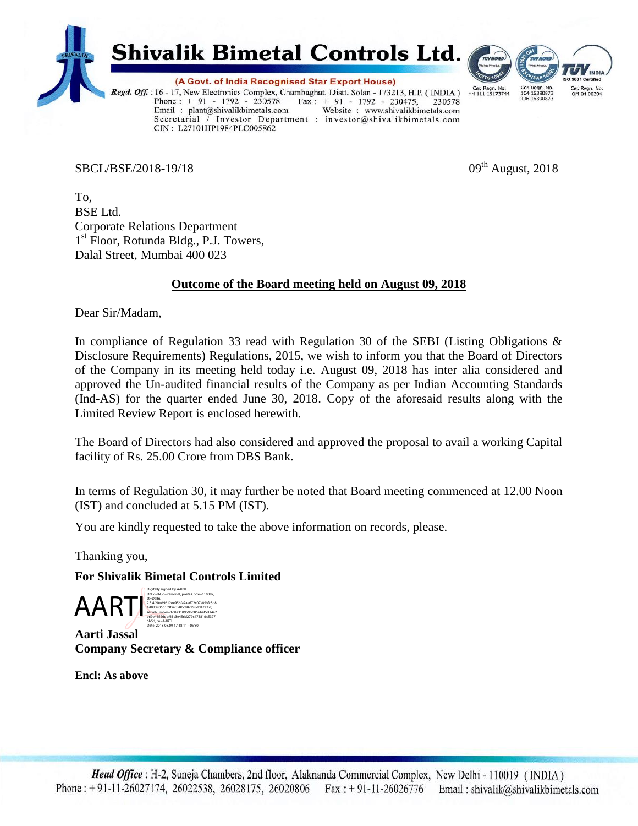

 $SBCL/BSE/2018-19/18$  09<sup>th</sup> August, 2018

Cer. Regn. No.<br>QM 04 00394

To, BSE Ltd. Corporate Relations Department 1 st Floor, Rotunda Bldg., P.J. Towers, Dalal Street, Mumbai 400 023

CIN: L27101HP1984PLC005862

## **Outcome of the Board meeting held on August 09, 2018**

Dear Sir/Madam,

In compliance of Regulation 33 read with Regulation 30 of the SEBI (Listing Obligations & Disclosure Requirements) Regulations, 2015, we wish to inform you that the Board of Directors of the Company in its meeting held today i.e. August 09, 2018 has inter alia considered and approved the Un-audited financial results of the Company as per Indian Accounting Standards (Ind-AS) for the quarter ended June 30, 2018. Copy of the aforesaid results along with the Limited Review Report is enclosed herewith.

The Board of Directors had also considered and approved the proposal to avail a working Capital facility of Rs. 25.00 Crore from DBS Bank.

In terms of Regulation 30, it may further be noted that Board meeting commenced at 12.00 Noon (IST) and concluded at 5.15 PM (IST).

You are kindly requested to take the above information on records, please.

Thanking you,

### **For Shivalik Bimetal Controls Limited**

 $\mathsf{A}\mathsf{R}\mathsf{T}$ Digitally signed by AARTI<br>DN: c=IN, o=Personal, pos st=Delhi, 2.5.4.20=d9612ee956fa2ae672c07efdbfc3d8 1d883906b1c9f26358bc887a98dd47a27f, serialNumber=1d8a318959bb056b4f5d14e2 e69e46526dbf61c3e456d279c47581dc5377 6b5d, cn=AARTI Date: 2018.08.09 17:18:11 +05'30'

**Aarti Jassal Company Secretary & Compliance officer**

**Encl: As above**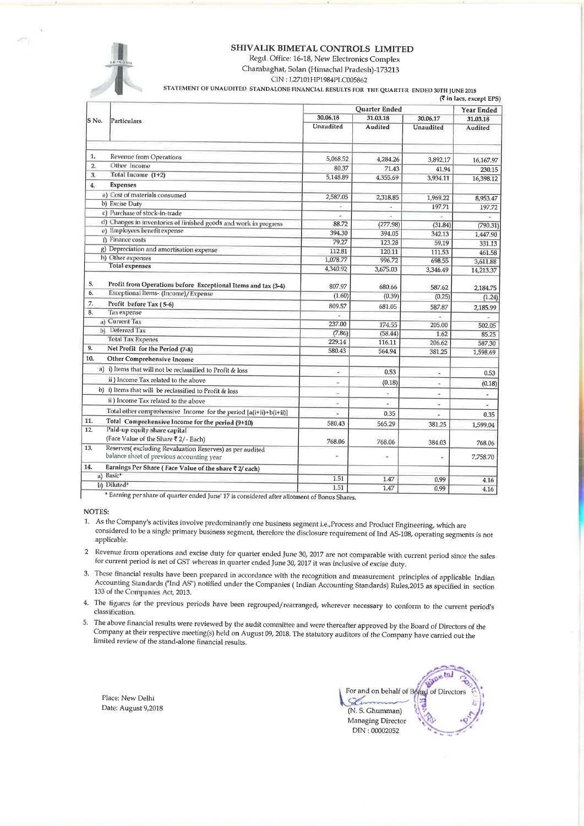#### SHIVALIK BIMETAL CONTROLS LIMITED

Regd. Office: 16-18, New Electronics Complex Chambaghat, Solan (Himachal Pradesh)-173213

CIN: L27101HP1984PLC005862

STATEMENT OF UNAUDITED STANDALONE FINANCIAL RESULTS FOR THE QUARTER ENDED 30TH JUNE 2018

|                |                                                                                                      | <b>Quarter Ended</b>     |                          |                  | <b>Year Ended</b>    |  |
|----------------|------------------------------------------------------------------------------------------------------|--------------------------|--------------------------|------------------|----------------------|--|
| S No.          | Particulars                                                                                          | 30.06.18<br>31.03.18     |                          | 30.06.17         | 31,03.18             |  |
|                |                                                                                                      | Unaudited                | Audited                  | <b>Unaudited</b> | Audited              |  |
| 1.             | Revenue from Operations                                                                              | 5,068.52                 | 4,284.26                 |                  |                      |  |
| $\overline{2}$ | Other Income                                                                                         | 80.37                    |                          | 3,892.17         | 16,167.97            |  |
| 3.             | Total Income (1+2)                                                                                   | 5,148.89                 | 71.43<br>4,355,69        | 41.94            | 230.15               |  |
| 4.             | <b>Expenses</b>                                                                                      |                          |                          | 3,934.11         | 16,398.12            |  |
|                | a) Cost of materials consumed                                                                        | 2,587.05                 |                          |                  |                      |  |
|                | b) Excise Duty                                                                                       | Ξ                        | 2,318.85                 | 1,969.22         | 8,953.47             |  |
|                | c) Purchase of stock-in-trade                                                                        |                          | ä,<br>÷                  | 197.71           | 197.72               |  |
|                | d) Changes in inventories of finished goods and work in progress                                     | 88.72                    | (277.98)                 | ŵ.<br>(31.84)    |                      |  |
|                | e) Employees benefit expense                                                                         | 394.30                   | 394,05                   | 342.13           | (790.31)<br>1,447.90 |  |
|                | f) Finance costs                                                                                     | 79.27                    | 123.28                   | 59.19            | 331.13               |  |
|                | g) Depreciation and amortisation expense                                                             | 112.81                   | 120.11                   | 111.53           | 461.58               |  |
|                | h) Other expenses                                                                                    | 1,078.77                 | 996.72                   | 698.55           | 3,611.88             |  |
|                | <b>Total expenses</b>                                                                                | 4,340.92                 | 3,675.03                 | 3,346.49         | 14,213.37            |  |
| 5.             | Profit from Operations before Exceptional Items and tax (3-4)                                        | 807.97                   | 680.66                   | 587.62           | 2,184.75             |  |
| 6.             | Exceptional Items- (Income) / Expense                                                                | (1.60)                   | (0.39)                   | (0.25)           | (1.24)               |  |
| 7.             | Profit before Tax (5-6)                                                                              | 809.57                   | 681.05                   | 587.87           | 2,185.99             |  |
| 8.             | Tax expense                                                                                          |                          |                          |                  |                      |  |
|                | a) Current Tax                                                                                       | 237.00                   | 174.55                   | 205.00           | 502.05               |  |
|                | b) Deferred Tax                                                                                      | (7.86)                   | (58.44)                  | 1.62             | 85.25                |  |
|                | <b>Total Tax Expenes</b>                                                                             | 229.14                   | 116.11                   | 206.62           | 587.30               |  |
| 9.             | Net Profit for the Period (7-8)                                                                      | 580.43                   | 564.94                   | 381.25           | 1,598.69             |  |
| 10.            | Other Comprehensive Income                                                                           |                          |                          |                  |                      |  |
|                | a) i) Items that will not be reclassified to Profit & loss                                           | Ξ                        | 0.53                     | ٠                | 0.53                 |  |
|                | ii) Income Tax related to the above                                                                  | $\overline{\phantom{a}}$ | (0.18)                   | ä,               | (0.18)               |  |
|                | b) i) Items that will be reclassified to Profit & loss                                               | ÷                        | $\overline{\phantom{a}}$ | i.               | ä,                   |  |
|                | ii) Income Tax related to the above                                                                  | ×                        | $\sim$                   | ×,               |                      |  |
|                | Total other comprehensive Income for the period [a(i+ii)+b(i+ii)]                                    |                          | 0.35                     |                  | ×,                   |  |
| 11.            | Total Comprehensive Income for the period (9+10)                                                     |                          |                          |                  | 0.35                 |  |
| 12.            | Paid-up equity share capital                                                                         | 580.43                   | 565.29                   | 381.25           | 1,599.04             |  |
|                | (Face Value of the Share ₹2/- Each)                                                                  | 768.06                   | 768.06                   | 384.03           | 768.06               |  |
| 13.            | Reserves(excluding Revaluation Reserves) as per audited<br>balance sheet of previous accounting year | Z                        | $\overline{a}$           | ۰                | 7,758.70             |  |
| 14.            | Earnings Per Share (Face Value of the share ₹ 2/ each)                                               |                          |                          |                  |                      |  |
| a) Basic*      |                                                                                                      | 1.51                     | 1.47                     | 0.99             | 4,16                 |  |
| b) Diluted*    |                                                                                                      | 1.51                     | 1.47                     | 0.99             | 4.16                 |  |

ng per share of quarter ended June' 17 is considered after allotment of Bonus Shares.

NOTES:

1. As the Company's activites involve predominantly one business segment i.e., Process and Product Engineering, which are considered to be a single primary business segment, therefore the disclosure requirement of Ind AS-108, operating segments is not applicable.

- 2 Revenue from operations and excise duty for quarter ended June 30, 2017 are not comparable with current period since the sales for current period is net of GST whereas in quarter ended June 30, 2017 it was inclusive of excise duty.
- 3. These financial results have been prepared in accordance with the recognition and measurement principles of applicable Indian Accounting Standards ("Ind AS") notified under the Companies (Indian Accounting Standards) Rules, 2015 as specified in section 133 of the Companies Act, 2013.
- 4. The figures for the previous periods have been regrouped/rearranged, wherever necessary to conform to the current period's classification.
- 5. The above financial results were reviewed by the audit committee and were thereafter approved by the Board of Directors of the Company at their respective meeting(s) held on August 09, 2018. The statutory auditors of the Company have carried out the limited review of the stand-alone financial results.

Place: New Delhi Date: August 9,2018

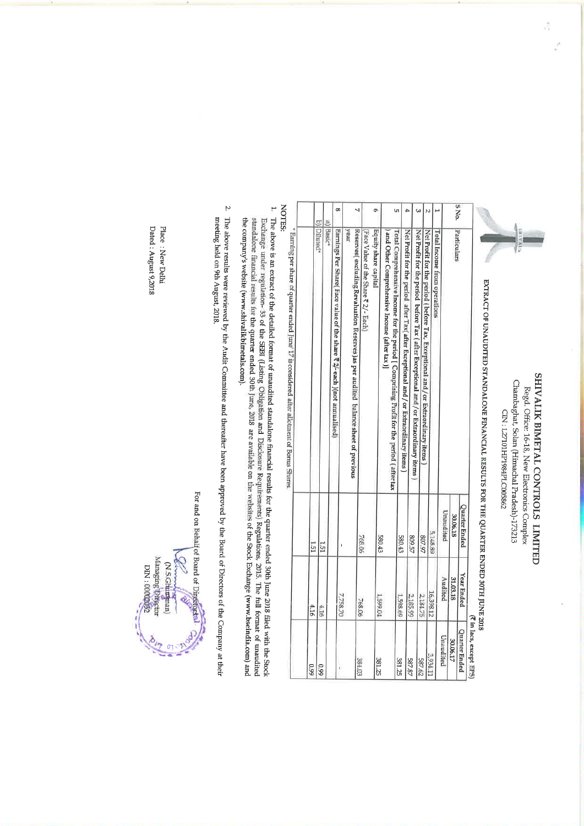# SHIVALIK BIMETAL CONTROLS LIMITED Chambaghat, Solan (Himachal Pradesh)-173213 Regd. Office: 16-18, New Electronics Complex

CIN: L27101HP1984PLC005862

EXTRACT OF UNAUDITED STANDALONE FINANCIAL RESULTS FOR THE QUARTER ENDED 30TH JUNE 2018

| Quarter Ended                                                                                                                                    |
|--------------------------------------------------------------------------------------------------------------------------------------------------|
| SNo.<br>Particulars<br>30.06.18                                                                                                                  |
| Unaudited                                                                                                                                        |
| Total Income from operations                                                                                                                     |
| N<br>5,148.89                                                                                                                                    |
| Net Profit for the period (before Tax, Exceptional and / or Extraordinary items<br>207.97                                                        |
| ω<br>Net Profit for the period before Tax (after Exceptional and/or Extraordinary items<br>809.57                                                |
| ıÞ.<br>Net Profit for the period after Tax(after Exceptional and / or Extraordinary items)                                                       |
| ÙΊ,<br>580.43                                                                                                                                    |
| Total Comprehensive Income for the period [ Comprising Profit for the period (after tax<br>and Other Comprehensive Income (after tax)]<br>580.43 |
| ō<br>Equity share capital                                                                                                                        |
| Face Value of the Share ₹ 2/- Each)<br>768.06                                                                                                    |
| ч<br>Reserves(excluding Revaluation Reserves) as per audited balance sheet of previous<br>vear                                                   |
| œ<br>Earnings Per Share( Face value of the share ₹ 2/- each )(not annualised)                                                                    |
|                                                                                                                                                  |
| a) Basic <sup>*</sup><br>151                                                                                                                     |
| b) Diluted <sup>*</sup>                                                                                                                          |
| L51                                                                                                                                              |

NOTES: tarnung per share of quarter ended June' 17 is considered after allotment of Bonus Shares.

- 1. The above is an extract of the detailed format of unaudited standalone financial results for the quarter ended 30th June 2018 filed with the Stock Exchange under regulation- 33 of the SBBI (Listing Obligation and Disclo the company's website (www.shivalikbimetals.com). standalone financial results for the quarter ended 30th June, 2018 are available on the websites of the Stock Exchange (www.bseindia.com) and
- 2. The above results were reviewed by the Audit Committee and thereafter have been approved by the Board of Directors of the Company at their meeting held on 9th August, 2018

For and on Behalf of Board of Directorial Managing Directo N.S.Ghuman C6020000: NIC

Dated: August 9,2018 Place : New Delhi ă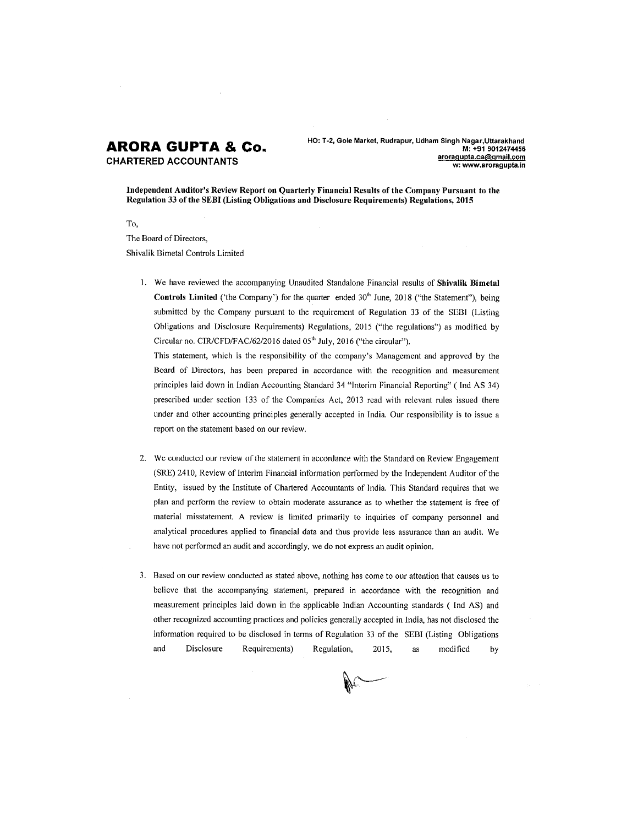# **ARORA GUPTA & Co.**

**CHARTERED ACCOUNTANTS** 

HO: T-2, Gole Market, Rudrapur, Udham Singh Nagar, Uttarakhand M: +91 9012474456 aroragupta.ca@gmail.com w: www.aroragupta.in

Independent Auditor's Review Report on Quarterly Financial Results of the Company Pursuant to the Regulation 33 of the SEBI (Listing Obligations and Disclosure Requirements) Regulations, 2015

To, The Board of Directors, Shivalik Bimetal Controls Limited

> 1. We have reviewed the accompanying Unaudited Standalone Financial results of Shivalik Bimetal Controls Limited ('the Company') for the quarter ended 30<sup>th</sup> June, 2018 ("the Statement"), being submitted by the Company pursuant to the requirement of Regulation 33 of the SEBI (Listing Obligations and Disclosure Requirements) Regulations, 2015 ("the regulations") as modified by Circular no. CIR/CFD/FAC/62/2016 dated 05<sup>th</sup> July, 2016 ("the circular").

This statement, which is the responsibility of the company's Management and approved by the Board of Directors, has been prepared in accordance with the recognition and measurement principles laid down in Indian Accounting Standard 34 "Interim Financial Reporting" (Ind AS 34) prescribed under section 133 of the Companies Act, 2013 read with relevant rules issued there under and other accounting principles generally accepted in India. Our responsibility is to issue a report on the statement based on our review.

- 2. We conducted our review of the statement in accordance with the Standard on Review Engagement (SRE) 2410, Review of Interim Financial information performed by the Independent Auditor of the Entity, issued by the Institute of Chartered Accountants of India. This Standard requires that we plan and perform the review to obtain moderate assurance as to whether the statement is free of material misstatement. A review is limited primarily to inquiries of company personnel and analytical procedures applied to financial data and thus provide less assurance than an audit. We have not performed an audit and accordingly, we do not express an audit opinion.
- 3. Based on our review conducted as stated above, nothing has come to our attention that causes us to believe that the accompanying statement, prepared in accordance with the recognition and measurement principles laid down in the applicable Indian Accounting standards (Ind AS) and other recognized accounting practices and policies generally accepted in India, has not disclosed the information required to be disclosed in terms of Regulation 33 of the SEBI (Listing Obligations and Disclosure Requirements) Regulation, 2015, modified as by